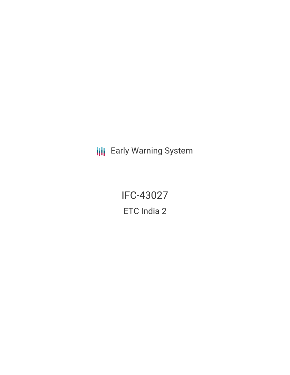**III** Early Warning System

IFC-43027 ETC India 2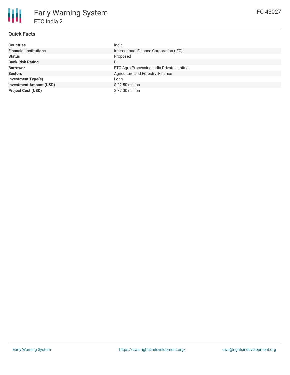

# **Quick Facts**

| <b>Countries</b>               | India                                     |
|--------------------------------|-------------------------------------------|
| <b>Financial Institutions</b>  | International Finance Corporation (IFC)   |
| <b>Status</b>                  | Proposed                                  |
| <b>Bank Risk Rating</b>        | B                                         |
| <b>Borrower</b>                | ETC Agro Processing India Private Limited |
| <b>Sectors</b>                 | Agriculture and Forestry, Finance         |
| <b>Investment Type(s)</b>      | Loan                                      |
| <b>Investment Amount (USD)</b> | \$22.50 million                           |
| <b>Project Cost (USD)</b>      | \$77.00 million                           |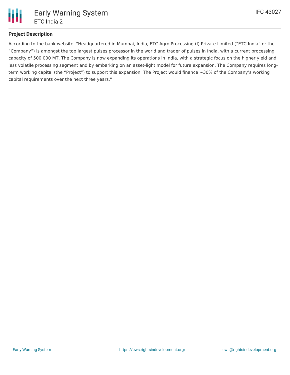

# **Project Description**

According to the bank website, "Headquartered in Mumbai, India, ETC Agro Processing (I) Private Limited ("ETC India" or the "Company") is amongst the top largest pulses processor in the world and trader of pulses in India, with a current processing capacity of 500,000 MT. The Company is now expanding its operations in India, with a strategic focus on the higher yield and less volatile processing segment and by embarking on an asset-light model for future expansion. The Company requires longterm working capital (the "Project") to support this expansion. The Project would finance ~30% of the Company's working capital requirements over the next three years."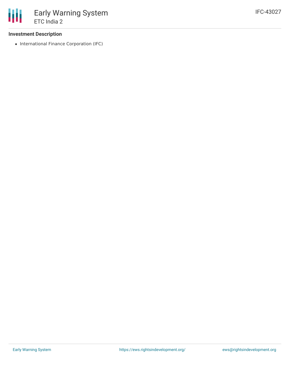### **Investment Description**

• International Finance Corporation (IFC)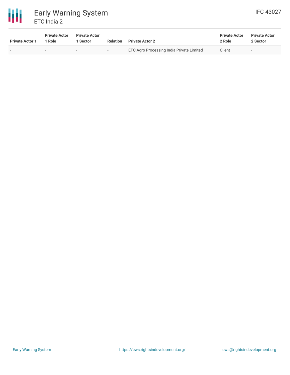# 冊 Early Warning System ETC India 2

| <b>Private Actor 1</b>   | <b>Private Actor</b><br>1 Role | <b>Private Actor</b><br>Sector | <b>Relation</b>          | <b>Private Actor 2</b>                           | <b>Private Actor</b><br>2 Role | <b>Private Actor</b><br>2 Sector |
|--------------------------|--------------------------------|--------------------------------|--------------------------|--------------------------------------------------|--------------------------------|----------------------------------|
| $\overline{\phantom{0}}$ |                                | $\overline{\phantom{a}}$       | $\overline{\phantom{0}}$ | <b>ETC Agro Processing India Private Limited</b> | Client                         | $\sim$                           |